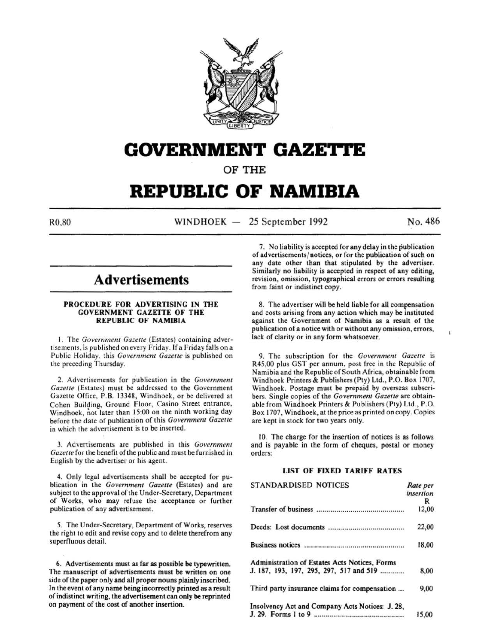

# **GOVERNMENT GAZETTE**

OF THE

# **REPUBLIC OF NAMIBIA**

 $N1NDHOEK - 25 September 1992$  No. 486

# **Advertisements**

#### PROCEDURE FOR ADVERTISING IN THE GOVERNMENT GAZETTE OF THE REPUBLIC OF NAMIBIA

I. The *Government Gazette* (Estates) containing advertisements, is published on every Friday. If a Friday falls on a Public Holiday, this *Government Gazette* is published on the preceding Thursday.

2. Advertisements for publication in the *Government Gazette* (Estates) must be addressed to the Government Gazette Office, P.B. 13348, Windhoek, or be delivered at Cohen Building, Ground Floor, Casino Street entrance, Windhoek , not later than 15:00 on the ninth working day before the date of publication of this *Government Gazette*  in which the advertisement is to be inserted.

3. Advertisements are published in this *Government Gazette* for the benefit of the public and must be furnished in English by the advertiser or his agent.

4. Only legal advertisements shall be accepted for publication in the *Government Gazette* (Estates) and are subject to the approval of the Under-Secretary, Department of Works, who may refuse the acceptance or further publication of any advertisement.

*5.* The Under-Secretary, Department of Works, reserves the right to edit and revise copy and to delete therefrom any superfluous detail.

6. Advertisements must as far as possible be typewritten. The manuscript of advertisements must be written on one side of the paper only and all proper nouns plainly inscribed. In the event of any name being incorrectly printed as a result of indistinct writing, the advertisement can only be reprinted on payment of the cost of another insertion.

7. No liability is accepted for any delay in the publication of advertisements/ notices, or for the publication of such on any date other than that stipulated by the advertiser. Similarly no liability is accepted in respect of any editing, revision, omission, typographical errors or errors resulting from faint or indistinct copy.

8. The advertiser will be held liable for all compensation and costs arising from any action which may be instituted against the Government of Namibia as a result of the publication of a notice with or without any omission, errors, lack of clarity or in any form whatsoever.

9. The subscription for the *Government Gazelle* is R45,00 plus GST per annum, post free in the Republic of Namibia and the Republic of South Africa, obtainable from Windhoek Printers & Publishers (Pty) Ltd., P.O. Box 1707, Windhoek. Postage must be prepaid by overseas subscribers. Single copies of the *Government Gazette* are obtainable from Windhoek Printers & Publishers (Pty) Ltd., P.O. Box 1707, Windhoek, at the price as printed on copy. Copies are kept in stock for two years only.

10. The charge for the insertion of notices is as follows and is payable in the form of cheques, postal or money orders:

# LIST OF FIXED TARIFF RATES

| <b>STANDARDISED NOTICES</b>                     | Rate per<br>insertion |
|-------------------------------------------------|-----------------------|
|                                                 | R                     |
|                                                 | 12,00                 |
|                                                 | 22,00                 |
|                                                 | 18,00                 |
| Administration of Estates Acts Notices, Forms   |                       |
| J. 187, 193, 197, 295, 297, 517 and 519         | 8,00                  |
| Third party insurance claims for compensation   | 9,00                  |
| Insolvency Act and Company Acts Notices: J. 28, |                       |
|                                                 | 15.00                 |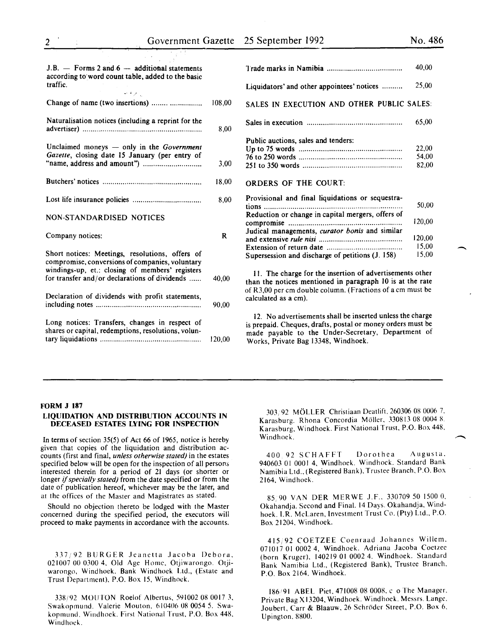$\overline{\phantom{a}}$ 

| $J.B.$ - Forms 2 and $6-$ additional statements<br>according to word count table, added to the basic<br>traffic.<br>经重新的                                                                               |        |
|--------------------------------------------------------------------------------------------------------------------------------------------------------------------------------------------------------|--------|
| Change of name (two insertions)                                                                                                                                                                        | 108,00 |
| Naturalisation notices (including a reprint for the                                                                                                                                                    | 8,00   |
| Unclaimed moneys - only in the Government<br>Gazette, closing date 15 January (per entry of                                                                                                            | 3,00   |
|                                                                                                                                                                                                        | 18,00  |
|                                                                                                                                                                                                        | 8.00   |
| <b>NON-STANDARDISED NOTICES</b>                                                                                                                                                                        |        |
|                                                                                                                                                                                                        |        |
| Company notices:                                                                                                                                                                                       | R      |
| Short notices: Meetings, resolutions, offers of<br>compromise, conversions of companies, voluntary<br>windings-up, et.: closing of members' registers<br>for transfer and/or declarations of dividends | 40.00  |
| Declaration of dividends with profit statements,                                                                                                                                                       | 90.00  |

| 20 SUPREMOUL 1992                                 | 110. TOU |
|---------------------------------------------------|----------|
|                                                   |          |
|                                                   | 40,00    |
| Liquidators' and other appointees' notices        | 25,00    |
| SALES IN EXECUTION AND OTHER PUBLIC SALES:        |          |
|                                                   | 65,00    |
| Public auctions, sales and tenders:               |          |
|                                                   | 22,00    |
|                                                   | 54,00    |
|                                                   | 82,00    |
| <b>ORDERS OF THE COURT:</b>                       |          |
| Provisional and final liquidations or sequestra-  |          |
|                                                   | 50,00    |
| Reduction or change in capital mergers, offers of |          |
|                                                   | 120,00   |
| Judical managements, curator bonis and similar    |          |
|                                                   | 120,00   |
|                                                   | 15,00    |
| Supersession and discharge of petitions (J. 158)  | 15.00    |
|                                                   |          |

II. The charge for the insertion of advertisements other than the notices mentioned in paragraph 10 is at the rate of R3,00 per em double column. (Fractions of a em must be calculated as a em).

12. No advertisements shall be inserted unless the charge is prepaid. Cheques, drafts, postal or money orders must be made payable to the Under-Secretary, Department of Works, Private Bag 13348, Windhoek.

# FORM J 187

#### LIQUIDATION AND DISTRIBUTION ACCOUNTS IN DECEASED ESTATES LYING FOR INSPECTION

In terms of section 35(5) of Act 66 of 1965, notice is hereby given that copies of the liquidation and distribution accounts (first and final, *unless otherwise stated)* in the estates specified below will be open for the inspection of all persons interested therein for a period of 21 days (or shorter or longer if *specially stated)* from the date specified or from the date of publication hereof, whichever may be the later, and at the offices of the Master and Magistrates as stated.

Should no objection thereto be lodged with the Master concerned during the specified period, the executors will proceed to make payments in accordance with the accounts.

337,'92 BURGER Jeanetta Jacoba Debora, 021007 00 0300 4, Old Age Home, Otjiwarongo. Otjiwarongo, Windhoek. Bank Windhoek Ltd., (Estate and Trust Department), P.O. Box 15, Windhoek.

338j92 MOUTON Roelof Albertus, 591002 08 0017 3, Swakopmund. Valerie Mouton, 610406 08 0054 5. Swakopmund. Windhoek. First National Trust, P.O. Box 448. Windhoek.

303,92 MOLLER Christiaan Deatlift. 260306 08 0006 7. Karasburg. Rhona Concordia Moller. 330813 08 0004 8. Karasburg, Windhoek. First National Trust, P.O. Box 448,<br>Windhoek.

400 92 SCHAFFT Dorothea Augusta. 940603 01 0001 4, Windhoek. Windhoek. Standard Bank Namibia Ltd .. (Registered Bank). Trustee Branch, P.O. Box 2164, Windhoek.

85.90 VAN DER MER WE J.F .. 330709 50 1500 0, Okahandja. Second and Final. 14 Days. Okahandja. Windhoek. I.R. McLaren, Investment Trust Co. (Pty) Ltd., P.O. Box 21204. Windhoek.

415/92 COETZEE Coenraad Johannes Willem. 071017 01 0002 4, Windhoek. Adriana Jacoba Coetzee (born Kruger), 140219 01 0002 4. Windhoek. Standard Bank Namibia Ltd., (Registered Bank), Trustee Branch. P.O. Box 2164. Windhoek.

186191 ABEL Piet, 471008 08 0008. c o The Manager. Private Bag X I 3204, Windhoek. Windhoek. Messrs. Lange. Joubert, Carr & Blaauw. 26 Schroder Street, P.O. Box 6. Upington. 8800.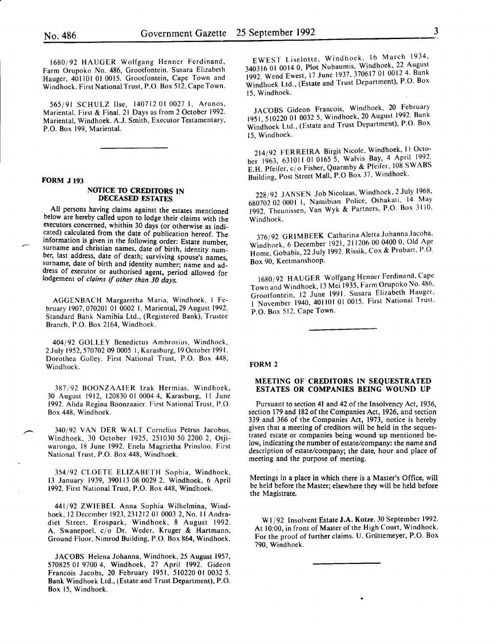~--------------------------------~---------------------------

1680/92 HAUGER Wolfgang Henner Ferdinand, Farm Orupoko No. 486, Grootfontein. Susara Elizabeth Hauger, 401101 01 0015. Grootfontein, Cape Town and Windhoek. First National Trust, P.O. Box 512, Cape Town.

565/91 SCHULZ lise, 140712 01 0027 I, Aranos, Mariental. First & Final. 21 Days as from 2 October 1992. Mariental, Windhoek. A.J. Smith, Executor Testamentary, P.O. Box 199, Mariental.

#### FORM J 193

# NOTICE TO CREDITORS IN DECEASED ESTATES

All persons having claims against the estates mentioned below are hereby called upon to lodge their claims with the executors concerned, whithin 30 days (or otherwise as indi cated) calculated from the date of publication hereof. The information is given in the following order: Estate number, surname and christian names, date of birth, identity number, last address, date of death; surviving spouse's names surname, date of birth and identity number; name and address of executor or authorised agent, period allowed for lodgement of *claims if other than 30 days.* 

AGGENBACH Margaretha Maria, Windhoek, I February 1907,070201 01 0002 I, Mariental, 29 August 1992. Standard Bank Namibia Ltd., (Registered Bank), Trustee Branch, P.O. Box 2164, Windhoek.

404/92 GOLLEY Benedictus Ambrosius, Windhoek, 2 July 1952, 570702 09 0005 I, Karas burg, 19 October 1991. Dorothea Golley. First National Trust, P.O. Box 448, Windhoek.

387 *i* 92 BOONZAAIER lzak Hermias, Windhoek, 30 August 1912, 120830 01 0004 4, Karasburg, II June 1992. Alida Regina Boonzaaier. First National Trust, P.O. Box 448, Windhoek.

340/92 VAN DER WALT Cornelius Petrus Jacobus, Windhoek, 30 October 1925, 251030 50 2200 2. Otjiwarongo, 18 June 1992. Enela Magrietha Prinsloo. First National Trust, P.O. Box 448, Windhoek.

354/92 CLOETE ELIZABETH Sophia, Windhoek, 13 January 1939, 390113 08 0029 2, Windhoek, 6 April 1992. First National Trust, P.O. Box 448, Windhoek.

441/92 ZWIEBEL Anna Sophia Wilhelmina, Windhoek, 12 December 1923,231212 01 0003 2, No. II Andradiet Street, Erospark, Windhoek, 8 August 1992. A. Swanepoel, c/o Dr. Weder, Kruger & Hartmann, Ground Floor, Nimrod Building, P.O. Box 864, Windhoek.

JACOBS Helena Johanna, Windhoek, 25 August 1957, 570825 01 9700 4, Windhoek, 27 April 1992. Gideon Francois Jacobs, 20 February 1951, 510220 01 0032 5. Bank Windhoek Ltd., (Estate and Trust Department), P.O. Box 15, Windhoek.

EWEST Liselotte, Windhoek, 16 March 1934, 3403160100140, Plot Nubaumis, Windhoek, 22 August 1992. Wend Ewest, 17 June 1937, 370617 01 0012 4. Bank Windhoek Ltd., (Estate and Trust Department), P.O. Box 15, Windhoek.

JACOBS Gideon Francois, Windhoek, 20 February 1951, 510220 01 0032 5, Windhoek, 20 August 1992. Bank Windhoek Ltd., (Estate and Trust Department), P.O. Box 15, Windhoek.

214/92 FERREIRA Birgit Nicole, Windhoek, II October 1963, 631011 01 0165 5, Walvis Bay, 4 April 1992. E.H. Pfeifer, c/o Fisher, Quarmby & Pfeifer, 108 SWABS Building, Post Street Mall, P.O Box 37. Windhoek.

228/92 JANSEN Job Nicolaas, Windhoek, 2 July 1968, 680702 02 0001 I, Namibian Police, Oshakati, 14 May 1992. Theunissen, VanWyk & Partners, P.O. Box 3110. Windhoek.

376/92 GRIMBEEK Catharina Aletta Johanna Jacoba, Windhoek, 6 December 1921, 211206 00 0400 0, Old Age Home, Gobabis, 22 July 1992. Rissik, Cox & Probart, P.O. Box 90, Keetmanshoop.

1680/92 HAUGER Wolfgang Henner Ferdinand, Cape Town and Windhoek, 13 Mei 1935, Farm Orupoko No. 486. Grootfontein, 12 June 1991. Susara Elizabeth Hauger. 1 November 1940, 401101 01 0015. First National Trust. P.O. Box 512, Cape Town.

#### FORM *2*

# MEETING OF CREDITORS IN SEQUESTRATED ESTATES OR COMPANIES BEING WOUND UP

Pursuant to section 41 and 42 of the Insolvency Act, 1936, section 179 and 182 of the Companies Act, 1926, and section 339 and 366 of the Companies Act, 1973, notice is hereby given that a meeting of creditors will be held in the sequestrated estate or companies being wound up mentioned below, indicating the number of estate/company: the name and description of estate/company; the date, hour and place of meeting and the purpose of meeting.

Meetings in a place in which there is a Master's Office, will be held before the Master; elsewhere they will be held before the Magistrate.

W 1/92 Insolvent Estate J.A. Kotze. 30 September 1992. At 10:00, in front of Master of the High Court, Windhoek. For the proof of further claims. U. Grüttemeyer, P.O. Box 790, Windhoek.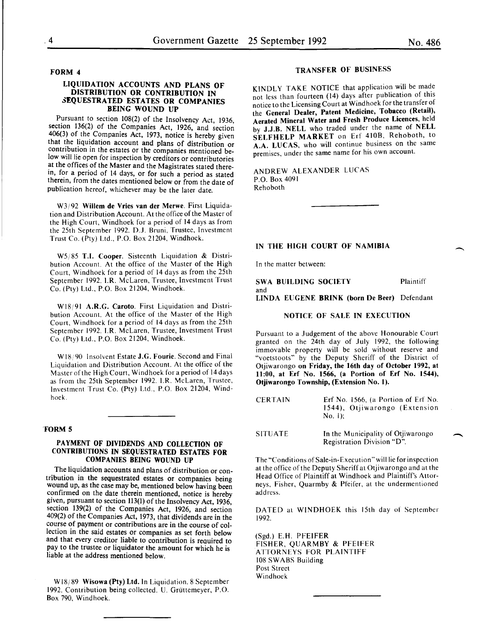FORM 4

# LIQUIDATION ACCOUNTS AND PLANS OF DISTRIBUTION OR CONTRIBUTION IN 3EQUESTRATED ESTATES OR COMPANIES BEING WOUND UP

Pursuant to section 108(2) of the Insolvency Act, 1936, section 136(2) of the Companies Act, 1926, and section 406(3) of the Companies Act, 1973, notice is hereby given contribution in the estates or the companies mentioned below will lie open for inspection by creditors or contributories at the offices of the Master and the Magistrates stated therein, for a period of 14 days, or for such a period as stated therein, from the dates mentioned below or from the date of publication hereof, whichever may be the later date.

W3j92 Willem de Vries van der Merwe. First Liquidation and Distribution Account. At the office of the Master of the High Court, Windhoek for a period of 14 days as from the 25th September 1992. D.J. Bruni, Trustee, Investment Trust Co. (Pty) Ltd., P.O. Box 21204, Windhoek.

W5/85 T.I. Cooper. Sisteenth Liquidation & Distribution Account. At the office of the Master of the High Court, Windhoek for a period of 14 days as from the 25th September 1992. l.R. McLaren, Trustee, Investment Trust Co. (Pty) Ltd., P.O. Box 21204, Windhoek.

W18/91 A.R.G. Caroto. First Liquidation and Distribution. Account. At the office of the Master of the High Court, Windhoek for a period of 14 days as from the 25th September 1992. l.R. McLaren, Trustee, Investment Trust Co. (Pty) Ltd., P.O. Box 21204, Windhoek.

W18/90 Insolvent Estate J.G. Fourie. Second and Final Liquidation and Distribution Account. At the office of the Master of the High Court, Windhoek for a period of 14 days as from the 25th September 1992. I.R. McLaren, Trustee, Investment Trust Co. (Pty) Ltd., P.O. Box 21204, Windhoek.

#### 'FORM 5

#### PAYMENT OF DIVIDENDS AND COLLECTION OF CONTRIBUTIONS IN SEQUESTRATED ESTATES FOR COMPANIES BEING WOUND UP

The liquidation accounts and plans of distribution or contribution in the sequestrated estates or companies being wound up, as the case may be, mentioned below having been confirmed on the date therein mentioned, notice is hereby given, pursuant to section 113(1) of the Insolvency Act, 1936, section 139(2) of the Companies Act, 1926, and section 409(2) of the Companies Act, 1973, that dividends are in the course of payment or contributions are in the course of collection in the said estates or companies as set forth below and that every creditor liable to contribution is required to pay to the trustee or liquidator the amount for which he is liable at the address mentioned below.

W18/89 Wisowa (Pty) Ltd. In Liquidation. 8 September 1992. Contribution being collected. U. Griittemeyer, P.O. Box 790, Windhoek.

# TRANSFER OF BUSINESS

KINDLY TAKE NOTICE that application will be made not less than fourteen (14) days after publication of this notice to the Licensing Court at Windhoek for the transfer of the General Dealer, Patent Medicine, Tobacco (Retail), Aerated Mineral Water and Fresh Produce Licences, held by J.J.B. NELL who traded under the name of NELL SELFHELP MARKET on Erf 4108, Rehoboth, to A.A. LUCAS, who will continue business on the same premises, under the same name for his own account.

ANDREW ALEXANDER LUCAS P.O. Box 4091 Rehoboth

#### IN THE HIGH COURT OF NAMIBIA

In the matter between:

SWA BUILDING SOCIETY and Plaintiff LINDA EUGENE BRINK (born De Beer) Defendant

#### NOTICE OF SALE IN EXECUTION

Pursuant to a Judgement of the above Honourable Court granted on the 24th day of July 1992, the following immovable property will be sold without reserve and "voetstoots" by the Deputy Sheriff of the District of Otjiwarongo on Friday, the 16th day of October 1992, at 11:00, at Erf No. 1566, (a Portion of Erf No. 1544), Otjiwarongo Township, (Extension No. 1).

**CERTAIN** Erf No. 1566, (a Portion of Erf No. 1544), Otjiwarongo (Extension No. I);

SITUATE In the Municipality of Otjiwarongo Registration Division "D".

The "Conditions of Sale-in-Execution" will lie for inspection at the office of the Deputy Sheriff at Otjiwarongo and at the Head Office of Plaintiff at Windhoek and Plaintiff's Attorneys, Fisher, Quarmby & Pfeifer, at the undermentioned address.

DATED at WINDHOEK this 15th day of September 1992.

(Sgd.) E.H. PFEIFER FISHER, QUARMBY & PFEIFER ATTORNEYS FOR PLAINTIFF 108 SWABS Building Post Street Windhoek

-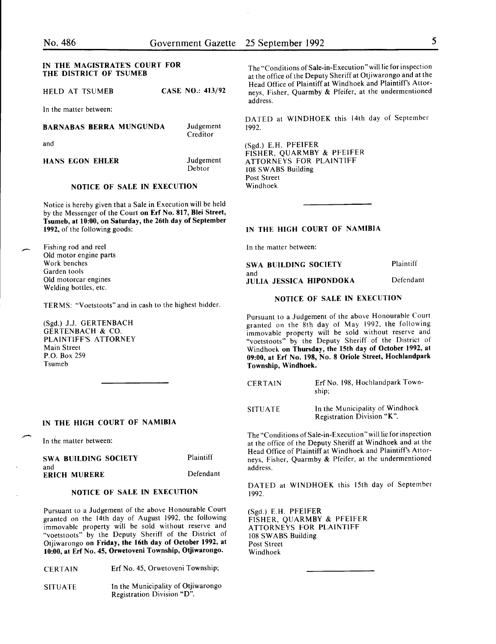# IN THE MAGISTRATE'S COURT FOR THE DISTRICT OF TSUMEB

HELD AT TSUMEB **CASE NO.: 413/92** 

In the matter between:

# BARNABAS BERRA MUNGUNDA

and

Judgement **Creditor** 

HANS EGON EHLER

Judgement Debtor

# NOTICE OF SALE IN EXECUTION

Notice is hereby given that a Sale in Execution will be held by the Messenger of the Court on Erf No. 817, Blei Street, Tsumeb, at 10:00, on Saturday, the 26th day of September 1992, of the following goods:

Fishing rod and reel Old motor engine parts Work benches Garden tools Old motorcar engines Welding bottles, etc.

TERMS: "Voetstoots" and in cash to the highest bidder.

(Sgd.) J.J. GERTENBACH GERTENBACH & CO. PLAINTIFF'S ATTORNEY Main Street P.O. Box 259 Tsumeb

# IN THE HIGH COURT OF NAMIBIA

In the matter between:

#### SWA BUILDING SOCIETY and ERICH MURERE

Defendant

Plaintiff

#### NOTICE OF SALE IN EXECUTION

Pursuant to a Judgement of the above Honourable Court granted on the 14th day of August 1992, the following immovable property will be sold without reserve and "voetstoots" by the Deputy Sheriff of the District of Otjiwarongo on Friday, the 16th day of October 1992, at 10:00, at Erf No. 45, Orwetoveni Township, Otjiwarongo.

| CERTAIN | Erf No. 45, Orwetoveni Township; |  |
|---------|----------------------------------|--|
|---------|----------------------------------|--|

SITUATE In the Municipality of Otjiwarongo Registration Division "D".

The "Conditions of Sale-in-Execution" will lie for inspection at the office of the Deputy Sheriff at Otjiwarongo and at the Head Office of Plaintiff at Windhoek and Plaintiff's Attorneys, Fisher, Quarmby & Pfeifer, at the undermentioned address.

DATED at WINDHOEK this 14th day of September 1992.

(Sgd.) E.H. PFEIFER FISHER, QUARMBY & PFEIFER ATTORNEYS FOR PLAINTIFF 108 SWABS Building Post Street Windhoek

# IN THE HIGH COURT OF NAMIBIA

In the matter between:

SWA BUILDING SOCIETY and JULIA JESSICA HIPONDOKA Plaintiff Defendant

#### NOTICE OF SALE IN EXECUTION

Pursuant to a Judgement of the above Honourable Court granted on the 8th day of May 1992, the following immovable property will be sold without reserve and "voetstoots" by the Deputy Sheriff of the District of Windhoek on Thursday, the 15th day of October 1992, at 09:00, at Erf No. 198, No. 8 Oriole Street, Hochlandpark Township, Windhoek.

| <b>CERTAIN</b> | Erf No. 198, Hochlandpark Town-<br>ship:                                                                                                                     |
|----------------|--------------------------------------------------------------------------------------------------------------------------------------------------------------|
| ---------      | $\mathbf{r} = \mathbf{r} \mathbf{r} + \mathbf{r} \mathbf{r} + \mathbf{r} \mathbf{r} + \mathbf{r} \mathbf{r} + \mathbf{r} \mathbf{r} + \mathbf{r} \mathbf{r}$ |

SITUATE In the Municipality of Windhoek Registration Division "K".

The "Conditions of Sale-in-Execution" will lie for inspection at the office of the Deputy Sheriff at Windhoek and at the Head Office of Plaintiff at Windhoek and Plaintiff's Attorneys, Fisher, Quarmby & Pfeifer, at the undermentioned address.

DATED at WINDHOEK this 15th day of September 1992.

(Sgd.) E.H. PFEIFER FISHER, QUARMBY & PFEIFER ATTORNEYS FOR PLAINTIFF 108 SWABS Building Post Street Windhoek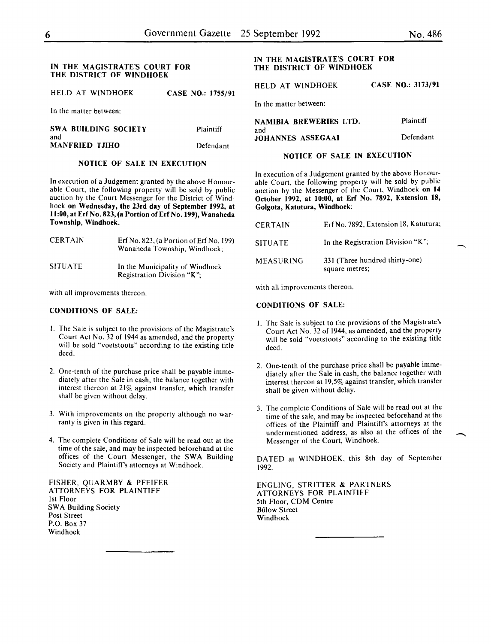#### IN THE MAGISTRATE'S COURT FOR THE DISTRICT OF WINDHOEK

HELD AT WINDHOEK CASE NO.: 1755/91

In the matter between:

| <b>SWA BUILDING SOCIETY</b> | Plaintiff |
|-----------------------------|-----------|
| and                         |           |
| <b>MANFRIED TJIHO</b>       | Defendant |

# NOTICE OF SALE IN EXECUTION

In execution of a Judgement granted by the above Honourable Court, the following property will be sold by public auction by the Court Messenger for the District of Windhoek on Wednesday, the 23rd day of September 1992, at 11:00, at Erf No. 823, (a Portion of Erf No. 199), Wanaheda Township, Windhoek.

| <b>CERTAIN</b> | Erf No. 823, (a Portion of Erf No. 199)<br>Wanaheda Township, Windhoek; |
|----------------|-------------------------------------------------------------------------|
| <b>SITUATE</b> | In the Municipality of Windhoek<br><b>Registration Division "K":</b>    |

with all improvements thereon.

# CONDITIONS OF SALE:

- I. The Sale is subject to the provisions of the Magistrate's Court Act No. 32 of 1944 as amended, and the property will be sold "voetstoots" according to the existing title deed.
- 2. One-tenth of the purchase price shall be payable immediately after the Sale in cash, the balance together with interest thereon at 21% against transfer, which transfer shall be given without delay.
- 3. With improvements on the property although no warranty is given in this regard.
- 4. The complete Conditions of Sale will be read out at the time of the sale, and may be inspected beforehand at the offices of the Court Messenger, the SWA Building Society and Plaintiffs attorneys at Windhoek.

FISHER, QUARMBY & PFEIFER ATTORNEYS FOR PLAINTIFF 1st Floor SWA Building Society Post Street P.O. Box 37 Windhoek

# IN THE MAGISTRATE'S COURT FOR THE DISTRICT OF WINDHOEK

HELD AT WINDHOEK CASE NO.: 3173/91

In the matter between:

| NAMIBIA BREWERIES LTD.   | Plaintiff |
|--------------------------|-----------|
| and<br>JOHANNES ASSEGAAI | Defendant |
|                          |           |

#### NOTICE OF SALE IN EXECUTION

In execution of a Judgement granted by the above Honourable Court, the following property will be sold by public auction by the Messenger of the Court, Windhoek on 14 October 1992, at 10:00, at Erf No. 7892, Extension 18, Golgota, Katutura, Windhoek:

| <b>CERTAIN</b>   | Erf No. 7892, Extension 18, Katutura;            |
|------------------|--------------------------------------------------|
| <b>SITUATE</b>   | In the Registration Division "K";                |
| <b>MEASURING</b> | 331 (Three hundred thirty-one)<br>square metres; |

with all improvements thereon.

#### CONDITIONS OF SALE:

- I. The Sale is subject to the provisions of the Magistrate's Court Act No. 32 of 1944, as amended, and the property will be sold "voetstoots" according to the existing title deed.
- 2. One-tenth of the purchase price shall be payable immediately after the Sale in cash, the balance together with interest thereon at 19,5% against transfer, which transfer shall be given without delay.
- 3. The complete Conditions of Sale will be read out at the time of the sale, and may be inspected beforehand at the offices of the Plaintiff and Plaintiff's attorneys at the undermentioned address, as also at the offices of the Messenger of the Court, Windhoek.

DATED at WINDHOEK, this 8th day of September 1992.

ENGLING, STRITTER & PARTNERS ATTORNEYS FOR PLAINTIFF 5th Floor, CDM Centre **Bülow Street** Windhoek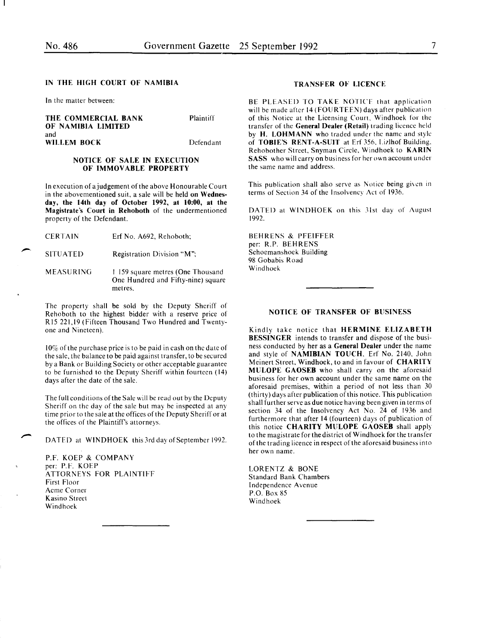#### IN THE HIGH COURT OF NAMIBIA

In the matter between:

THE COMMERCIAL BANK OF NAMIBIA LIMITED and WILLEM BOCK

Plaintiff

Defendant

#### NOTICE OF SALE IN EXECUTION OF IMMOVABLE PROPERTY

In execution of a judgement of the above Honourable Court in the abovementioned suit, a sale will be held on Wednesday, the 14th day of October 1992, at 10:00, at the Magistrate's Court in Rehoboth of the undermentioned property of the Defendant.

**CERTAIN** Erf No. A692, Rehoboth;

SITUATED Registration Division "M";

MEASURING I !59 square metres (One Thousand One Hundred and Fifty-nine) square metres.

The property shall be sold by the Deputy Sheriff of Rehoboth to the highest bidder with a reserve price of Rl5 221,19 (Fifteen Thousand Two Hundred and Twentyone and Nineteen).

 $10\%$  of the purchase price is to be paid in cash on the date of the sale, the balance to be paid against transfer, to be secured by a Bank or Building Society or other acceptable guarantee to be furnished to the Deputy Sheriff within fourteen (14) days after the date of the sale.

The full conditions of the Sale will be read out by the Deputy Sheriff on the day of the sale but may be inspected at any time prior to the sale at the offices of the Deputy Sheriff or at the offices of the Plaintiff's attorneys.

DATED at WINDHOEK this 3rd day of September 1992.

P.F. KOEP & COMPANY per: P.F. KOEP ATTORNEYS FOR PLAINTIFF First Floor Acme Corner Kasino Street Windhoek

# TRANSFER OF LICENCE

BE PLEASED TO TAKE NOTICE that application will be made after 14 (FOURTEEN) days after publication of this Notice at the Licensing Court, Windhoek for the transfer of the General Dealer (Retail) trading licence held by H. LOHMANN who traded under the name and style of TOBIE'S RENT-A-SUIT at Erf 356. I.izlhof Building, Rehobother Street, Snyman Circle, Windhoek to KARIN SASS who will carry on business for her own account under the same name and address.

This publication shall also serve as Notice being given in terms of Section 34 of the Insolvency Act of 1936.

DATED at WINDHOEK on this 31st day of August 1992.

BEHRENS & PFEIFFER per: R.P. BEHRENS Schoemanshoek Building 98 Gobabis Road Windhoek

#### NOTICE OF TRANSFER OF BUSINESS

Kindly take notice that HERMINE ELIZABETH **BESSINGER** intends to transfer and dispose of the business conducted by her as a General Dealer under the name and style of NAMIBIAN TOUCH, Erf No. 2140, John Meinert Street, Windhoek, to and in favour of CHARITY MULOPE GAOSEB who shall carry on the aforesaid business for her own account under the same name on the aforesaid premises, within a period of not less than 30 (thirty) days after publication of this notice. This publication shall further serve as due notice having been given in terms of section 34 of the Insolvency Act No. 24 of 1936 and furthermore that after 14 (fourteen) days of publication of this notice CHARITY MULOPE GAOSEB shall apply to the magistrate for the district of Windhoek for the transfer of the trading licence in respect ofthe aforesaid business into her own name.

LORENTZ & BONE Standard Bank Chambers Independence Avenue P.O. Box 85 Windhoek